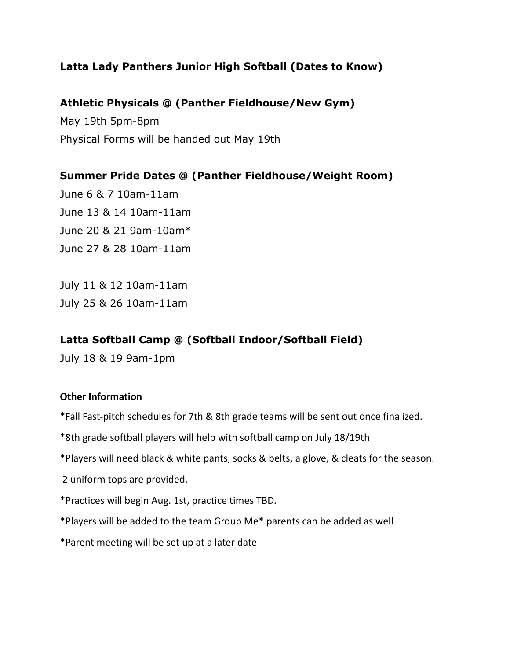## **Latta Lady Panthers Junior High Softball (Dates to Know)**

### **Athletic Physicals @ (Panther Fieldhouse/New Gym)**

May 19th 5pm-8pm Physical Forms will be handed out May 19th

**Summer Pride Dates @ (Panther Fieldhouse/Weight Room)** June 6 & 7 10am-11am June 13 & 14 10am-11am June 20 & 21 9am-10am\* June 27 & 28 10am-11am

July 11 & 12 10am-11am July 25 & 26 10am-11am

## **Latta Softball Camp @ (Softball Indoor/Softball Field)**

July 18 & 19 9am-1pm

#### **Other Information**

\*Fall Fast-pitch schedules for 7th & 8th grade teams will be sent out once finalized.

\*8th grade softball players will help with softball camp on July 18/19th

\*Players will need black & white pants, socks & belts, a glove, & cleats for the season.

2 uniform tops are provided.

\*Practices will begin Aug. 1st, practice times TBD.

\*Players will be added to the team Group Me\* parents can be added as well

\*Parent meeting will be set up at a later date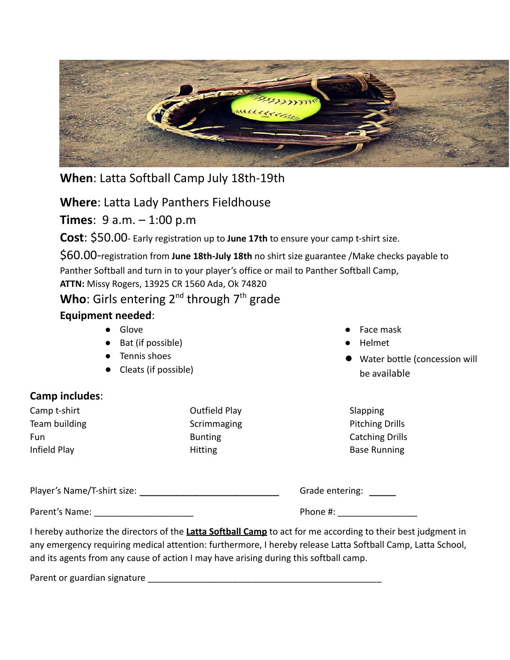

**When**: Latta Softball Camp July 18th-19th

**Where**: Latta Lady Panthers Fieldhouse

**Times**: 9 a.m. – 1:00 p.m

**Cost**: \$50.00- Early registration up to **June 17th** to ensure your camp t-shirt size.

\$60.00-registration from **June 18th-July 18th** no shirt size guarantee /Make checks payable to Panther Softball and turn in to your player's office or mail to Panther Softball Camp, **ATTN:** Missy Rogers, 13925 CR 1560 Ada, Ok 74820

Who: Girls entering 2<sup>nd</sup> through 7<sup>th</sup> grade

# **Equipment needed**:

- Glove
- Bat (if possible)
- Tennis shoes
- Cleats (if possible)

# **Camp includes**:

Camp t-shirt Team building Fun Infield Play

Outfield Play Scrimmaging Bunting Hitting

- Face mask
- Helmet
- Water bottle (concession will be available

| Slapping               |
|------------------------|
| <b>Pitching Drills</b> |
| <b>Catching Drills</b> |
| <b>Base Running</b>    |

| Player's Name/T-shirt size: | Grade entering: |
|-----------------------------|-----------------|
| Parent's Name:              | Phone #:        |

I hereby authorize the directors of the **Latta Softball Camp** to act for me according to their best judgment in any emergency requiring medical attention: furthermore, I hereby release Latta Softball Camp, Latta School, and its agents from any cause of action I may have arising during this softball camp.

Parent or guardian signature